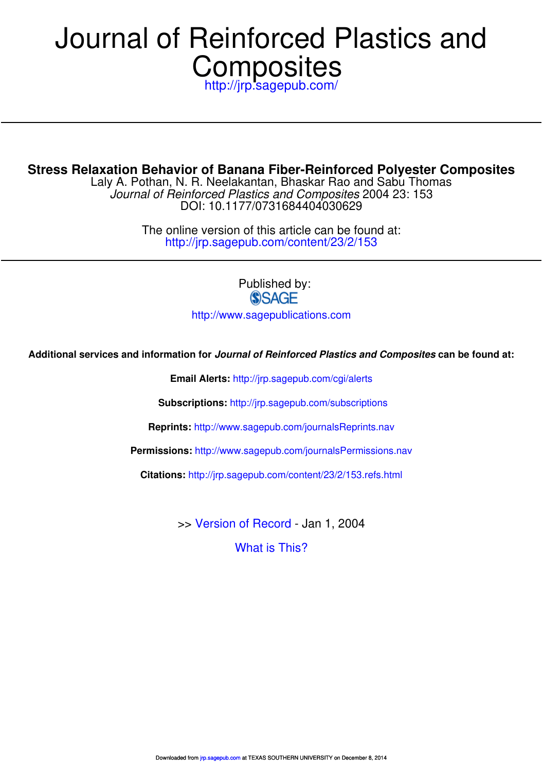# http://jrp.sagepub.com/ **Composites** Journal of Reinforced Plastics and

**Stress Relaxation Behavior of Banana Fiber-Reinforced Polyester Composites**

DOI: 10.1177/0731684404030629 Journal of Reinforced Plastics and Composites 2004 23: 153 Laly A. Pothan, N. R. Neelakantan, Bhaskar Rao and Sabu Thomas

> http://jrp.sagepub.com/content/23/2/153 The online version of this article can be found at:

> > Published by:<br>
> > SAGE http://www.sagepublications.com

**Additional services and information for Journal of Reinforced Plastics and Composites can be found at:**

**Email Alerts:** http://jrp.sagepub.com/cgi/alerts

**Subscriptions:** http://jrp.sagepub.com/subscriptions

**Reprints:** http://www.sagepub.com/journalsReprints.nav

**Permissions:** http://www.sagepub.com/journalsPermissions.nav

**Citations:** http://jrp.sagepub.com/content/23/2/153.refs.html

>> Version of Record - Jan 1, 2004

What is This?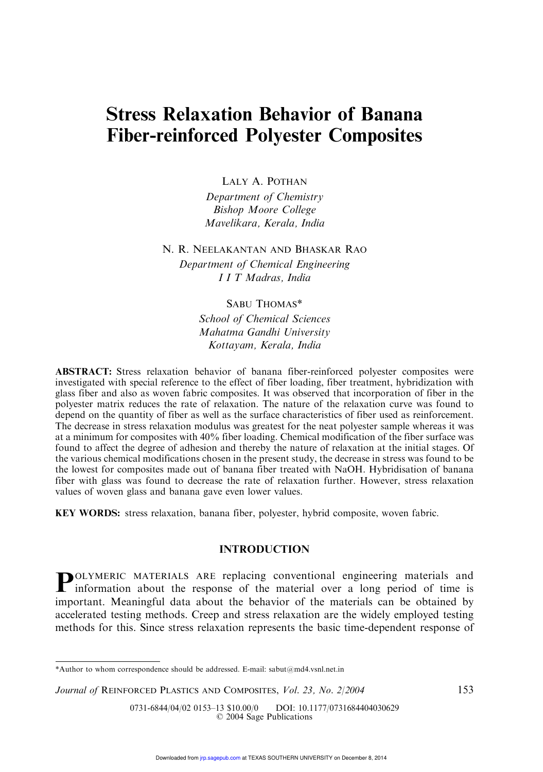# Stress Relaxation Behavior of Banana Fiber-reinforced Polyester Composites

LALY A. POTHAN

Department of Chemistry Bishop Moore College Mavelikara, Kerala, India

N. R. NEELAKANTAN AND BHASKAR RAO

Department of Chemical Engineering I I T Madras, India

# SABU THOMAS\*

School of Chemical Sciences Mahatma Gandhi University Kottayam, Kerala, India

ABSTRACT: Stress relaxation behavior of banana fiber-reinforced polyester composites were investigated with special reference to the effect of fiber loading, fiber treatment, hybridization with glass fiber and also as woven fabric composites. It was observed that incorporation of fiber in the polyester matrix reduces the rate of relaxation. The nature of the relaxation curve was found to depend on the quantity of fiber as well as the surface characteristics of fiber used as reinforcement. The decrease in stress relaxation modulus was greatest for the neat polyester sample whereas it was at a minimum for composites with 40% fiber loading. Chemical modification of the fiber surface was found to affect the degree of adhesion and thereby the nature of relaxation at the initial stages. Of the various chemical modifications chosen in the present study, the decrease in stress was found to be the lowest for composites made out of banana fiber treated with NaOH. Hybridisation of banana fiber with glass was found to decrease the rate of relaxation further. However, stress relaxation values of woven glass and banana gave even lower values.

KEY WORDS: stress relaxation, banana fiber, polyester, hybrid composite, woven fabric.

### INTRODUCTION

**POLYMERIC MATERIALS ARE replacing conventional engineering materials and information about the response of the material over a long period of time is** OLYMERIC MATERIALS ARE replacing conventional engineering materials and important. Meaningful data about the behavior of the materials can be obtained by accelerated testing methods. Creep and stress relaxation are the widely employed testing methods for this. Since stress relaxation represents the basic time-dependent response of

<sup>\*</sup>Author to whom correspondence should be addressed. E-mail: sabut@md4.vsnl.net.in

Journal of REINFORCED PLASTICS AND COMPOSITES, Vol. 23, No. 2/2004 153

<sup>0731-6844/04/02 0153-13 \$10.00/0</sup> DOI: 10.1177/0731684404030629 2004 Sage Publications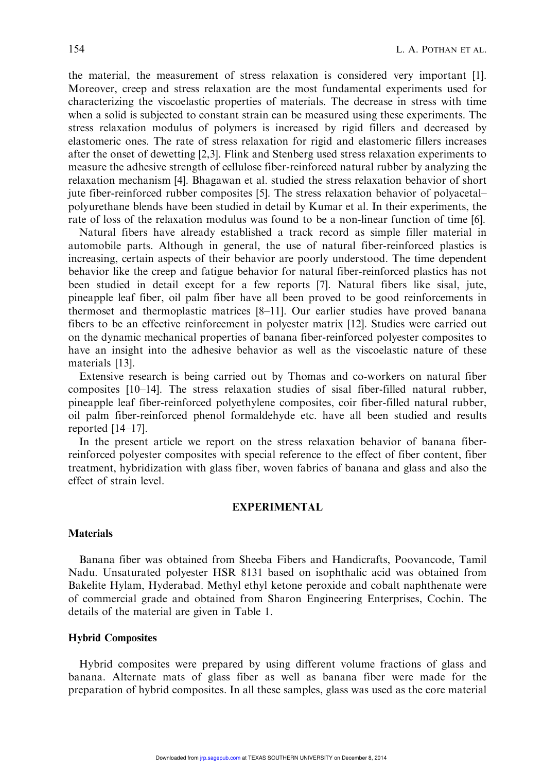the material, the measurement of stress relaxation is considered very important [1]. Moreover, creep and stress relaxation are the most fundamental experiments used for characterizing the viscoelastic properties of materials. The decrease in stress with time when a solid is subjected to constant strain can be measured using these experiments. The stress relaxation modulus of polymers is increased by rigid fillers and decreased by elastomeric ones. The rate of stress relaxation for rigid and elastomeric fillers increases after the onset of dewetting [2,3]. Flink and Stenberg used stress relaxation experiments to measure the adhesive strength of cellulose fiber-reinforced natural rubber by analyzing the relaxation mechanism [4]. Bhagawan et al. studied the stress relaxation behavior of short jute fiber-reinforced rubber composites [5]. The stress relaxation behavior of polyacetal– polyurethane blends have been studied in detail by Kumar et al. In their experiments, the rate of loss of the relaxation modulus was found to be a non-linear function of time [6].

Natural fibers have already established a track record as simple filler material in automobile parts. Although in general, the use of natural fiber-reinforced plastics is increasing, certain aspects of their behavior are poorly understood. The time dependent behavior like the creep and fatigue behavior for natural fiber-reinforced plastics has not been studied in detail except for a few reports [7]. Natural fibers like sisal, jute, pineapple leaf fiber, oil palm fiber have all been proved to be good reinforcements in thermoset and thermoplastic matrices [8–11]. Our earlier studies have proved banana fibers to be an effective reinforcement in polyester matrix [12]. Studies were carried out on the dynamic mechanical properties of banana fiber-reinforced polyester composites to have an insight into the adhesive behavior as well as the viscoelastic nature of these materials [13].

Extensive research is being carried out by Thomas and co-workers on natural fiber composites [10–14]. The stress relaxation studies of sisal fiber-filled natural rubber, pineapple leaf fiber-reinforced polyethylene composites, coir fiber-filled natural rubber, oil palm fiber-reinforced phenol formaldehyde etc. have all been studied and results reported [14–17].

In the present article we report on the stress relaxation behavior of banana fiberreinforced polyester composites with special reference to the effect of fiber content, fiber treatment, hybridization with glass fiber, woven fabrics of banana and glass and also the effect of strain level.

#### EXPERIMENTAL

#### **Materials**

Banana fiber was obtained from Sheeba Fibers and Handicrafts, Poovancode, Tamil Nadu. Unsaturated polyester HSR 8131 based on isophthalic acid was obtained from Bakelite Hylam, Hyderabad. Methyl ethyl ketone peroxide and cobalt naphthenate were of commercial grade and obtained from Sharon Engineering Enterprises, Cochin. The details of the material are given in Table 1.

#### Hybrid Composites

Hybrid composites were prepared by using different volume fractions of glass and banana. Alternate mats of glass fiber as well as banana fiber were made for the preparation of hybrid composites. In all these samples, glass was used as the core material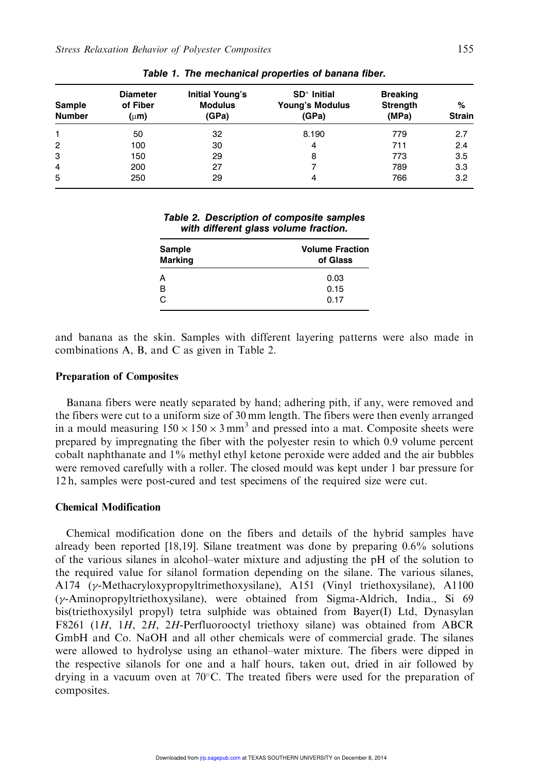| Sample<br><b>Number</b> | <b>Diameter</b><br>of Fiber<br>$(\mu m)$ | Initial Young's<br><b>Modulus</b><br>(GPa) | SD <sup>*</sup> Initial<br><b>Young's Modulus</b><br>(GPa) | <b>Breaking</b><br><b>Strength</b><br>(MPa) | %<br><b>Strain</b> |  |
|-------------------------|------------------------------------------|--------------------------------------------|------------------------------------------------------------|---------------------------------------------|--------------------|--|
| 1                       | 50                                       | 32                                         | 8.190                                                      | 779                                         | 2.7                |  |
| $\overline{2}$          | 100                                      | 30                                         | 4                                                          | 711                                         | 2.4                |  |
| 3                       | 150                                      | 29                                         | 8                                                          | 773                                         | 3.5                |  |
| 4                       | 200                                      | 27                                         |                                                            | 789                                         | 3.3                |  |
| 5                       | 250                                      | 29                                         | 4                                                          | 766                                         | 3.2                |  |

Table 1. The mechanical properties of banana fiber.

|  | Table 2. Description of composite samples |
|--|-------------------------------------------|
|  | with different glass volume fraction.     |

| Sample<br><b>Marking</b> | <b>Volume Fraction</b><br>of Glass |
|--------------------------|------------------------------------|
| A                        | 0.03                               |
| B                        | 0.15                               |
| C                        | 0.17                               |

and banana as the skin. Samples with different layering patterns were also made in combinations A, B, and C as given in Table 2.

#### Preparation of Composites

Banana fibers were neatly separated by hand; adhering pith, if any, were removed and the fibers were cut to a uniform size of 30 mm length. The fibers were then evenly arranged in a mould measuring  $150 \times 150 \times 3$  mm<sup>3</sup> and pressed into a mat. Composite sheets were prepared by impregnating the fiber with the polyester resin to which 0.9 volume percent cobalt naphthanate and 1% methyl ethyl ketone peroxide were added and the air bubbles were removed carefully with a roller. The closed mould was kept under 1 bar pressure for 12 h, samples were post-cured and test specimens of the required size were cut.

#### Chemical Modification

Chemical modification done on the fibers and details of the hybrid samples have already been reported [18,19]. Silane treatment was done by preparing 0.6% solutions of the various silanes in alcohol–water mixture and adjusting the pH of the solution to the required value for silanol formation depending on the silane. The various silanes, A174 ( $\gamma$ -Methacryloxypropyltrimethoxysilane), A151 (Vinyl triethoxysilane), A1100  $(\gamma$ -Aminopropyltriethoxysilane), were obtained from Sigma-Aldrich, India., Si 69 bis(triethoxysilyl propyl) tetra sulphide was obtained from Bayer(I) Ltd, Dynasylan F8261 (1H, 1H, 2H, 2H-Perfluorooctyl triethoxy silane) was obtained from ABCR GmbH and Co. NaOH and all other chemicals were of commercial grade. The silanes were allowed to hydrolyse using an ethanol–water mixture. The fibers were dipped in the respective silanols for one and a half hours, taken out, dried in air followed by drying in a vacuum oven at 70°C. The treated fibers were used for the preparation of composites.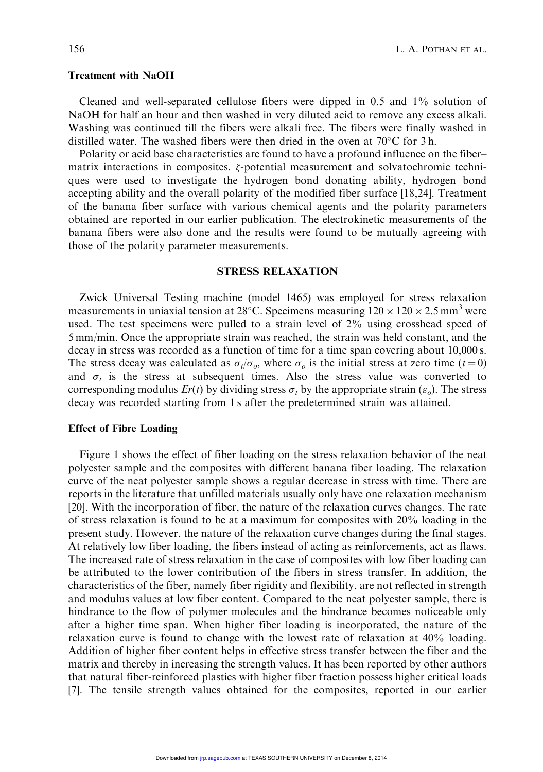#### Treatment with NaOH

Cleaned and well-separated cellulose fibers were dipped in 0.5 and 1% solution of NaOH for half an hour and then washed in very diluted acid to remove any excess alkali. Washing was continued till the fibers were alkali free. The fibers were finally washed in distilled water. The washed fibers were then dried in the oven at 70 $\rm ^{\circ}C$  for 3 h.

Polarity or acid base characteristics are found to have a profound influence on the fiber– matrix interactions in composites.  $\zeta$ -potential measurement and solvatochromic techniques were used to investigate the hydrogen bond donating ability, hydrogen bond accepting ability and the overall polarity of the modified fiber surface [18,24]. Treatment of the banana fiber surface with various chemical agents and the polarity parameters obtained are reported in our earlier publication. The electrokinetic measurements of the banana fibers were also done and the results were found to be mutually agreeing with those of the polarity parameter measurements.

# STRESS RELAXATION

Zwick Universal Testing machine (model 1465) was employed for stress relaxation measurements in uniaxial tension at 28°C. Specimens measuring  $120 \times 120 \times 2.5$  mm<sup>3</sup> were used. The test specimens were pulled to a strain level of 2% using crosshead speed of 5 mm/min. Once the appropriate strain was reached, the strain was held constant, and the decay in stress was recorded as a function of time for a time span covering about 10,000 s. The stress decay was calculated as  $\sigma_t/\sigma_o$ , where  $\sigma_o$  is the initial stress at zero time (t=0) and  $\sigma_t$  is the stress at subsequent times. Also the stress value was converted to corresponding modulus  $Er(t)$  by dividing stress  $\sigma_t$  by the appropriate strain ( $\varepsilon_o$ ). The stress decay was recorded starting from 1 s after the predetermined strain was attained.

#### Effect of Fibre Loading

Figure 1 shows the effect of fiber loading on the stress relaxation behavior of the neat polyester sample and the composites with different banana fiber loading. The relaxation curve of the neat polyester sample shows a regular decrease in stress with time. There are reports in the literature that unfilled materials usually only have one relaxation mechanism [20]. With the incorporation of fiber, the nature of the relaxation curves changes. The rate of stress relaxation is found to be at a maximum for composites with 20% loading in the present study. However, the nature of the relaxation curve changes during the final stages. At relatively low fiber loading, the fibers instead of acting as reinforcements, act as flaws. The increased rate of stress relaxation in the case of composites with low fiber loading can be attributed to the lower contribution of the fibers in stress transfer. In addition, the characteristics of the fiber, namely fiber rigidity and flexibility, are not reflected in strength and modulus values at low fiber content. Compared to the neat polyester sample, there is hindrance to the flow of polymer molecules and the hindrance becomes noticeable only after a higher time span. When higher fiber loading is incorporated, the nature of the relaxation curve is found to change with the lowest rate of relaxation at 40% loading. Addition of higher fiber content helps in effective stress transfer between the fiber and the matrix and thereby in increasing the strength values. It has been reported by other authors that natural fiber-reinforced plastics with higher fiber fraction possess higher critical loads [7]. The tensile strength values obtained for the composites, reported in our earlier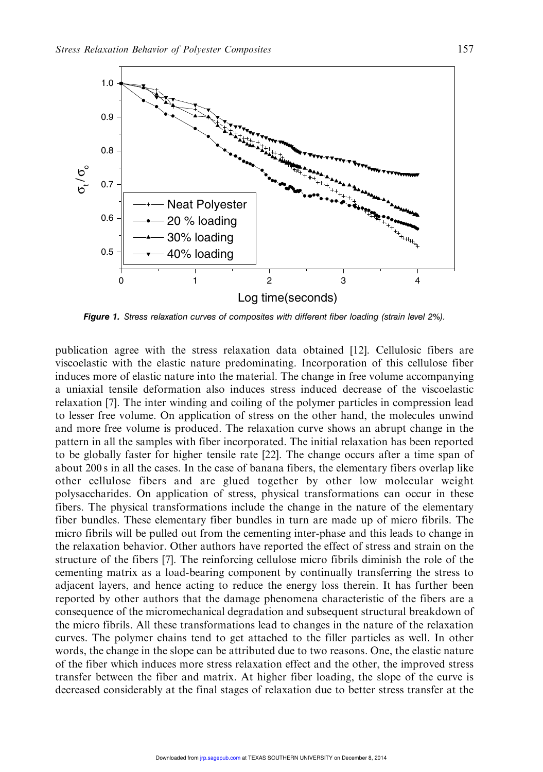

Figure 1. Stress relaxation curves of composites with different fiber loading (strain level 2%).

publication agree with the stress relaxation data obtained [12]. Cellulosic fibers are viscoelastic with the elastic nature predominating. Incorporation of this cellulose fiber induces more of elastic nature into the material. The change in free volume accompanying a uniaxial tensile deformation also induces stress induced decrease of the viscoelastic relaxation [7]. The inter winding and coiling of the polymer particles in compression lead to lesser free volume. On application of stress on the other hand, the molecules unwind and more free volume is produced. The relaxation curve shows an abrupt change in the pattern in all the samples with fiber incorporated. The initial relaxation has been reported to be globally faster for higher tensile rate [22]. The change occurs after a time span of about 200 s in all the cases. In the case of banana fibers, the elementary fibers overlap like other cellulose fibers and are glued together by other low molecular weight polysaccharides. On application of stress, physical transformations can occur in these fibers. The physical transformations include the change in the nature of the elementary fiber bundles. These elementary fiber bundles in turn are made up of micro fibrils. The micro fibrils will be pulled out from the cementing inter-phase and this leads to change in the relaxation behavior. Other authors have reported the effect of stress and strain on the structure of the fibers [7]. The reinforcing cellulose micro fibrils diminish the role of the cementing matrix as a load-bearing component by continually transferring the stress to adjacent layers, and hence acting to reduce the energy loss therein. It has further been reported by other authors that the damage phenomena characteristic of the fibers are a consequence of the micromechanical degradation and subsequent structural breakdown of the micro fibrils. All these transformations lead to changes in the nature of the relaxation curves. The polymer chains tend to get attached to the filler particles as well. In other words, the change in the slope can be attributed due to two reasons. One, the elastic nature of the fiber which induces more stress relaxation effect and the other, the improved stress transfer between the fiber and matrix. At higher fiber loading, the slope of the curve is decreased considerably at the final stages of relaxation due to better stress transfer at the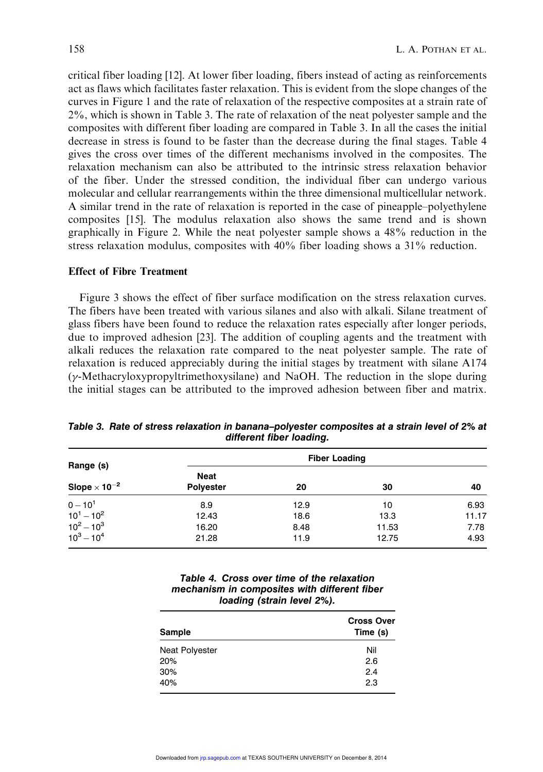critical fiber loading [12]. At lower fiber loading, fibers instead of acting as reinforcements act as flaws which facilitates faster relaxation. This is evident from the slope changes of the curves in Figure 1 and the rate of relaxation of the respective composites at a strain rate of 2%, which is shown in Table 3. The rate of relaxation of the neat polyester sample and the composites with different fiber loading are compared in Table 3. In all the cases the initial decrease in stress is found to be faster than the decrease during the final stages. Table 4 gives the cross over times of the different mechanisms involved in the composites. The relaxation mechanism can also be attributed to the intrinsic stress relaxation behavior of the fiber. Under the stressed condition, the individual fiber can undergo various molecular and cellular rearrangements within the three dimensional multicellular network. A similar trend in the rate of relaxation is reported in the case of pineapple–polyethylene composites [15]. The modulus relaxation also shows the same trend and is shown graphically in Figure 2. While the neat polyester sample shows a 48% reduction in the stress relaxation modulus, composites with 40% fiber loading shows a 31% reduction.

# Effect of Fibre Treatment

Figure 3 shows the effect of fiber surface modification on the stress relaxation curves. The fibers have been treated with various silanes and also with alkali. Silane treatment of glass fibers have been found to reduce the relaxation rates especially after longer periods, due to improved adhesion [23]. The addition of coupling agents and the treatment with alkali reduces the relaxation rate compared to the neat polyester sample. The rate of relaxation is reduced appreciably during the initial stages by treatment with silane A174  $(\gamma$ -Methacryloxypropyltrimethoxysilane) and NaOH. The reduction in the slope during the initial stages can be attributed to the improved adhesion between fiber and matrix.

| Range (s)                       | <b>Fiber Loading</b>     |              |               |               |  |  |  |  |
|---------------------------------|--------------------------|--------------|---------------|---------------|--|--|--|--|
| Slope $\times$ 10 <sup>-2</sup> | Neat<br><b>Polyester</b> | 20           | 30            | 40            |  |  |  |  |
| $0 - 10^{1}$                    | 8.9                      | 12.9         | 10            | 6.93          |  |  |  |  |
| $10^1 - 10^2$<br>$10^2 - 10^3$  | 12.43<br>16.20           | 18.6<br>8.48 | 13.3<br>11.53 | 11.17<br>7.78 |  |  |  |  |
| $10^3 - 10^4$                   | 21.28                    | 11.9         | 12.75         | 4.93          |  |  |  |  |

Table 3. Rate of stress relaxation in banana–polyester composites at a strain level of 2% at different fiber loading.

| Table 4. Cross over time of the relaxation   |
|----------------------------------------------|
| mechanism in composites with different fiber |
| loading (strain level 2%).                   |

| Sample                | <b>Cross Over</b><br>Time (s) |
|-----------------------|-------------------------------|
| <b>Neat Polyester</b> | Nil                           |
| 20%                   | 2.6                           |
| 30%                   | 2.4                           |
| 40%                   | 2.3                           |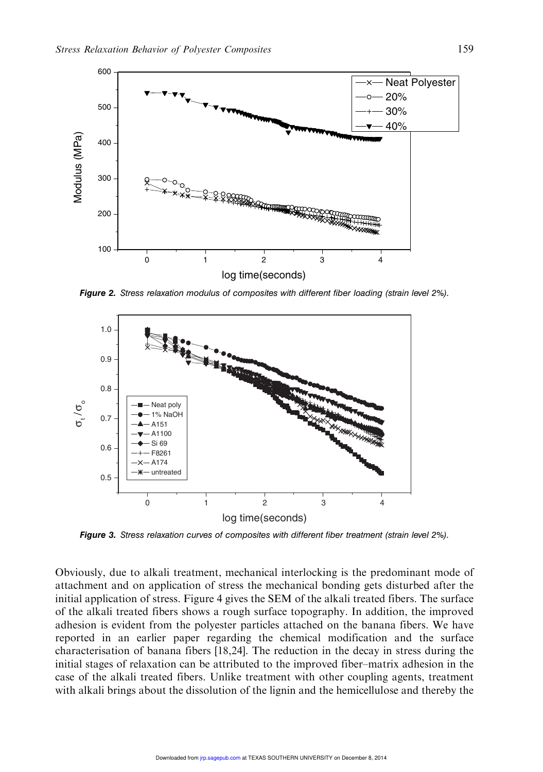

Figure 2. Stress relaxation modulus of composites with different fiber loading (strain level 2%).



Figure 3. Stress relaxation curves of composites with different fiber treatment (strain level 2%).

Obviously, due to alkali treatment, mechanical interlocking is the predominant mode of attachment and on application of stress the mechanical bonding gets disturbed after the initial application of stress. Figure 4 gives the SEM of the alkali treated fibers. The surface of the alkali treated fibers shows a rough surface topography. In addition, the improved adhesion is evident from the polyester particles attached on the banana fibers. We have reported in an earlier paper regarding the chemical modification and the surface characterisation of banana fibers [18,24]. The reduction in the decay in stress during the initial stages of relaxation can be attributed to the improved fiber–matrix adhesion in the case of the alkali treated fibers. Unlike treatment with other coupling agents, treatment with alkali brings about the dissolution of the lignin and the hemicellulose and thereby the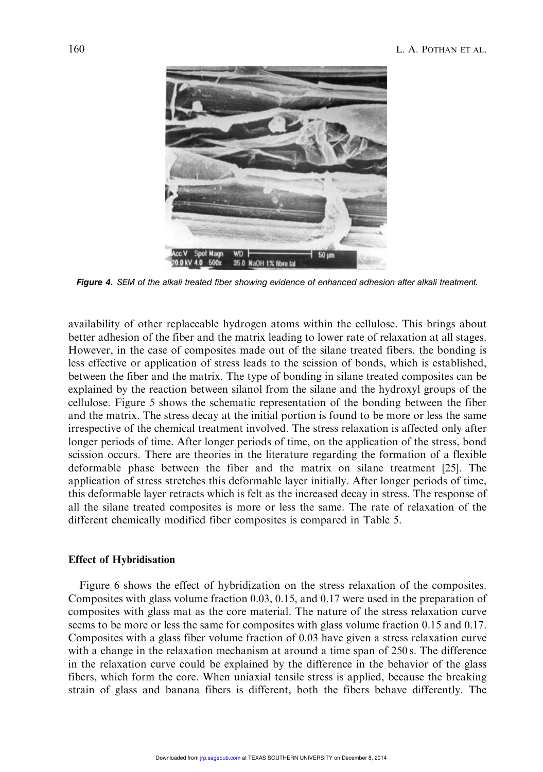

Figure 4. SEM of the alkali treated fiber showing evidence of enhanced adhesion after alkali treatment.

availability of other replaceable hydrogen atoms within the cellulose. This brings about better adhesion of the fiber and the matrix leading to lower rate of relaxation at all stages. However, in the case of composites made out of the silane treated fibers, the bonding is less effective or application of stress leads to the scission of bonds, which is established, between the fiber and the matrix. The type of bonding in silane treated composites can be explained by the reaction between silanol from the silane and the hydroxyl groups of the cellulose. Figure 5 shows the schematic representation of the bonding between the fiber and the matrix. The stress decay at the initial portion is found to be more or less the same irrespective of the chemical treatment involved. The stress relaxation is affected only after longer periods of time. After longer periods of time, on the application of the stress, bond scission occurs. There are theories in the literature regarding the formation of a flexible deformable phase between the fiber and the matrix on silane treatment [25]. The application of stress stretches this deformable layer initially. After longer periods of time, this deformable layer retracts which is felt as the increased decay in stress. The response of all the silane treated composites is more or less the same. The rate of relaxation of the different chemically modified fiber composites is compared in Table 5.

#### Effect of Hybridisation

Figure 6 shows the effect of hybridization on the stress relaxation of the composites. Composites with glass volume fraction 0.03, 0.15, and 0.17 were used in the preparation of composites with glass mat as the core material. The nature of the stress relaxation curve seems to be more or less the same for composites with glass volume fraction 0.15 and 0.17. Composites with a glass fiber volume fraction of 0.03 have given a stress relaxation curve with a change in the relaxation mechanism at around a time span of 250 s. The difference in the relaxation curve could be explained by the difference in the behavior of the glass fibers, which form the core. When uniaxial tensile stress is applied, because the breaking strain of glass and banana fibers is different, both the fibers behave differently. The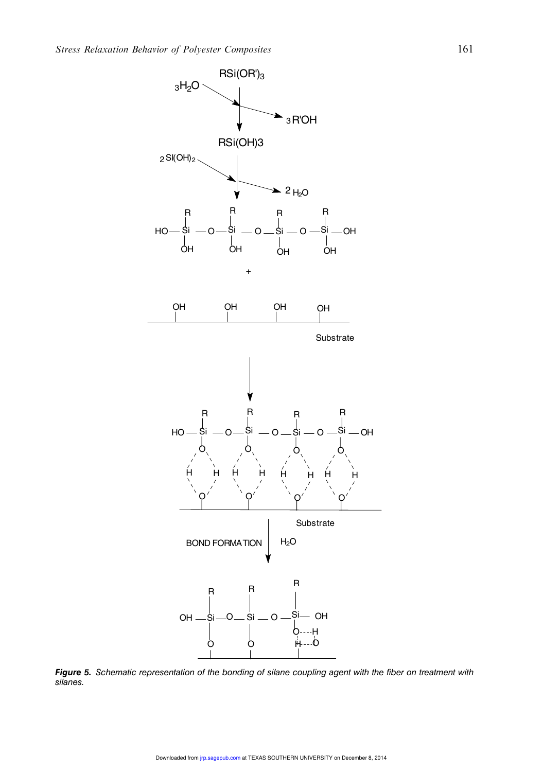

Figure 5. Schematic representation of the bonding of silane coupling agent with the fiber on treatment with silanes.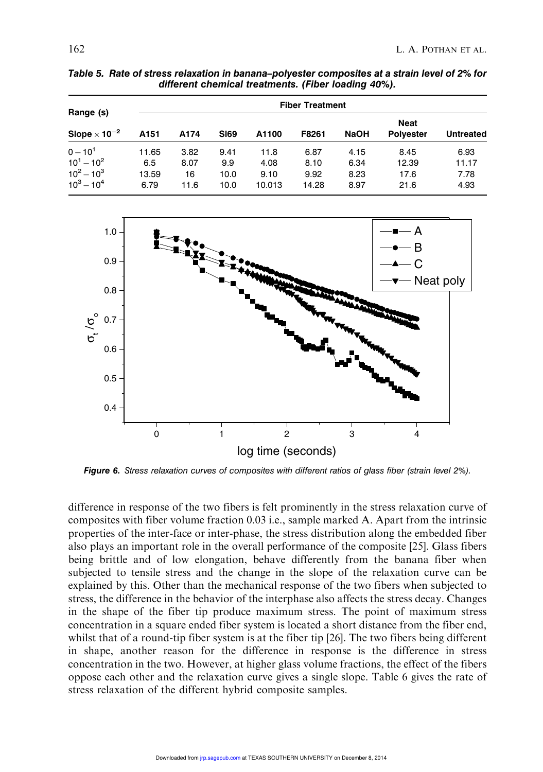| Range (s)                                                       | <b>Fiber Treatment</b>        |                            |                             |                                |                               |                              |                                 |                               |  |
|-----------------------------------------------------------------|-------------------------------|----------------------------|-----------------------------|--------------------------------|-------------------------------|------------------------------|---------------------------------|-------------------------------|--|
| Slope $\times$ 10 <sup>-2</sup>                                 | A <sub>151</sub>              | A174                       | <b>Si69</b>                 | A1100                          | F8261                         | <b>NaOH</b>                  | <b>Neat</b><br><b>Polyester</b> | <b>Untreated</b>              |  |
| $0 - 10^{1}$<br>$10^1 - 10^2$<br>$10^2 - 10^3$<br>$10^3 - 10^4$ | 11.65<br>6.5<br>13.59<br>6.79 | 3.82<br>8.07<br>16<br>11.6 | 9.41<br>9.9<br>10.0<br>10.0 | 11.8<br>4.08<br>9.10<br>10.013 | 6.87<br>8.10<br>9.92<br>14.28 | 4.15<br>6.34<br>8.23<br>8.97 | 8.45<br>12.39<br>17.6<br>21.6   | 6.93<br>11.17<br>7.78<br>4.93 |  |

Table 5. Rate of stress relaxation in banana–polyester composites at a strain level of 2% for different chemical treatments. (Fiber loading 40%).



Figure 6. Stress relaxation curves of composites with different ratios of glass fiber (strain level 2%).

difference in response of the two fibers is felt prominently in the stress relaxation curve of composites with fiber volume fraction 0.03 i.e., sample marked A. Apart from the intrinsic properties of the inter-face or inter-phase, the stress distribution along the embedded fiber also plays an important role in the overall performance of the composite [25]. Glass fibers being brittle and of low elongation, behave differently from the banana fiber when subjected to tensile stress and the change in the slope of the relaxation curve can be explained by this. Other than the mechanical response of the two fibers when subjected to stress, the difference in the behavior of the interphase also affects the stress decay. Changes in the shape of the fiber tip produce maximum stress. The point of maximum stress concentration in a square ended fiber system is located a short distance from the fiber end, whilst that of a round-tip fiber system is at the fiber tip [26]. The two fibers being different in shape, another reason for the difference in response is the difference in stress concentration in the two. However, at higher glass volume fractions, the effect of the fibers oppose each other and the relaxation curve gives a single slope. Table 6 gives the rate of stress relaxation of the different hybrid composite samples.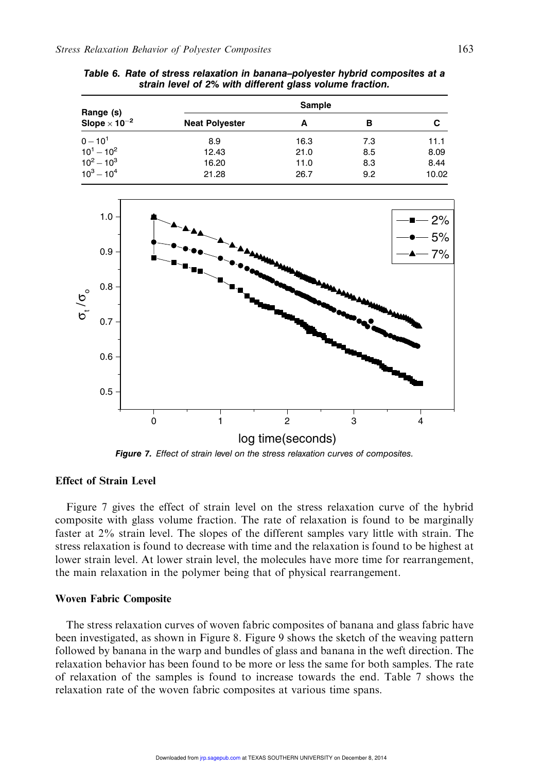|                                              |                       | Sample |     |       |
|----------------------------------------------|-----------------------|--------|-----|-------|
| Range (s)<br>Slope $\times$ 10 <sup>-2</sup> | <b>Neat Polyester</b> | А      | в   | С     |
| $0 - 10^{1}$                                 | 8.9                   | 16.3   | 7.3 | 11.1  |
| $10^1 - 10^2$                                | 12.43                 | 21.0   | 8.5 | 8.09  |
| $10^2 - 10^3$                                | 16.20                 | 11.0   | 8.3 | 8.44  |
| $10^3 - 10^4$                                | 21.28                 | 26.7   | 9.2 | 10.02 |

Table 6. Rate of stress relaxation in banana–polyester hybrid composites at a strain level of 2% with different glass volume fraction.



Figure 7. Effect of strain level on the stress relaxation curves of composites.

# Effect of Strain Level

Figure 7 gives the effect of strain level on the stress relaxation curve of the hybrid composite with glass volume fraction. The rate of relaxation is found to be marginally faster at 2% strain level. The slopes of the different samples vary little with strain. The stress relaxation is found to decrease with time and the relaxation is found to be highest at lower strain level. At lower strain level, the molecules have more time for rearrangement, the main relaxation in the polymer being that of physical rearrangement.

#### Woven Fabric Composite

The stress relaxation curves of woven fabric composites of banana and glass fabric have been investigated, as shown in Figure 8. Figure 9 shows the sketch of the weaving pattern followed by banana in the warp and bundles of glass and banana in the weft direction. The relaxation behavior has been found to be more or less the same for both samples. The rate of relaxation of the samples is found to increase towards the end. Table 7 shows the relaxation rate of the woven fabric composites at various time spans.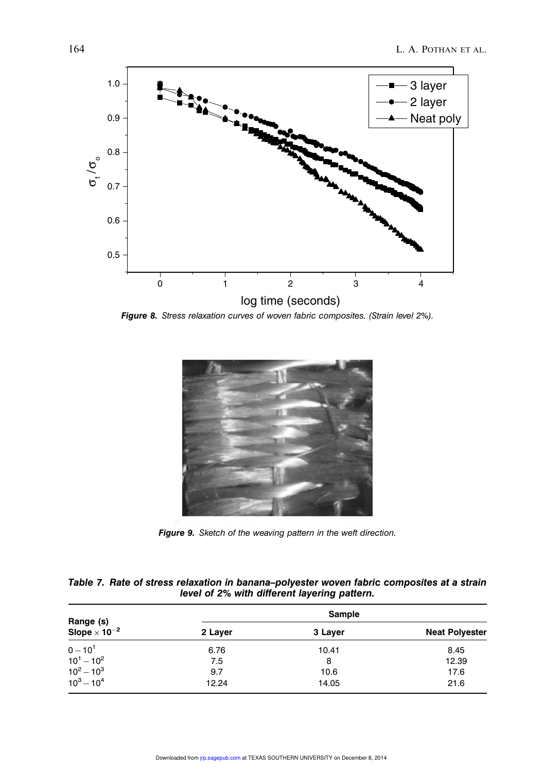

Figure 8. Stress relaxation curves of woven fabric composites. (Strain level 2%).



Figure 9. Sketch of the weaving pattern in the weft direction.

|  | Table 7. Rate of stress relaxation in banana-polyester woven fabric composites at a strain |  |  |  |  |  |
|--|--------------------------------------------------------------------------------------------|--|--|--|--|--|
|  | level of 2% with different layering pattern.                                               |  |  |  |  |  |

|                                              |         | Sample  |                       |
|----------------------------------------------|---------|---------|-----------------------|
| Range (s)<br>Slope $\times$ 10 <sup>-2</sup> | 2 Layer | 3 Layer | <b>Neat Polyester</b> |
| $0 - 10^{1}$                                 | 6.76    | 10.41   | 8.45                  |
| $10^1 - 10^2$                                | 7.5     | 8       | 12.39                 |
| $10^2 - 10^3$                                | 9.7     | 10.6    | 17.6                  |
| $10^3 - 10^4$                                | 12.24   | 14.05   | 21.6                  |